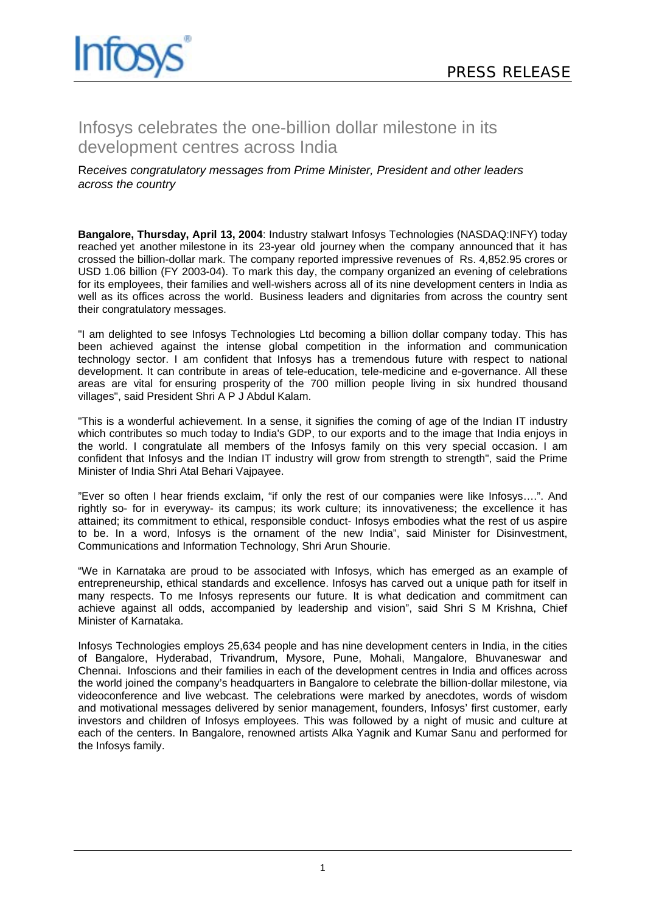

## Infosys celebrates the one-billion dollar milestone in its development centres across India

## R*eceives congratulatory messages from Prime Minister, President and other leaders across the country*

**Bangalore, Thursday, April 13, 2004**: Industry stalwart Infosys Technologies (NASDAQ:INFY) today reached yet another milestone in its 23-year old journey when the company announced that it has crossed the billion-dollar mark. The company reported impressive revenues of Rs. 4,852.95 crores or USD 1.06 billion (FY 2003-04). To mark this day, the company organized an evening of celebrations for its employees, their families and well-wishers across all of its nine development centers in India as well as its offices across the world. Business leaders and dignitaries from across the country sent their congratulatory messages.

"I am delighted to see Infosys Technologies Ltd becoming a billion dollar company today. This has been achieved against the intense global competition in the information and communication technology sector. I am confident that Infosys has a tremendous future with respect to national development. It can contribute in areas of tele-education, tele-medicine and e-governance. All these areas are vital for ensuring prosperity of the 700 million people living in six hundred thousand villages", said President Shri A P J Abdul Kalam.

"This is a wonderful achievement. In a sense, it signifies the coming of age of the Indian IT industry which contributes so much today to India's GDP, to our exports and to the image that India enjoys in the world. I congratulate all members of the Infosys family on this very special occasion. I am confident that Infosys and the Indian IT industry will grow from strength to strength", said the Prime Minister of India Shri Atal Behari Vajpayee.

"Ever so often I hear friends exclaim, "if only the rest of our companies were like Infosys….". And rightly so- for in everyway- its campus; its work culture; its innovativeness; the excellence it has attained; its commitment to ethical, responsible conduct- Infosys embodies what the rest of us aspire to be. In a word, Infosys is the ornament of the new India", said Minister for Disinvestment, Communications and Information Technology, Shri Arun Shourie.

"We in Karnataka are proud to be associated with Infosys, which has emerged as an example of entrepreneurship, ethical standards and excellence. Infosys has carved out a unique path for itself in many respects. To me Infosys represents our future. It is what dedication and commitment can achieve against all odds, accompanied by leadership and vision", said Shri S M Krishna, Chief Minister of Karnataka.

Infosys Technologies employs 25,634 people and has nine development centers in India, in the cities of Bangalore, Hyderabad, Trivandrum, Mysore, Pune, Mohali, Mangalore, Bhuvaneswar and Chennai. Infoscions and their families in each of the development centres in India and offices across the world joined the company's headquarters in Bangalore to celebrate the billion-dollar milestone, via videoconference and live webcast. The celebrations were marked by anecdotes, words of wisdom and motivational messages delivered by senior management, founders, Infosys' first customer, early investors and children of Infosys employees. This was followed by a night of music and culture at each of the centers. In Bangalore, renowned artists Alka Yagnik and Kumar Sanu and performed for the Infosys family.